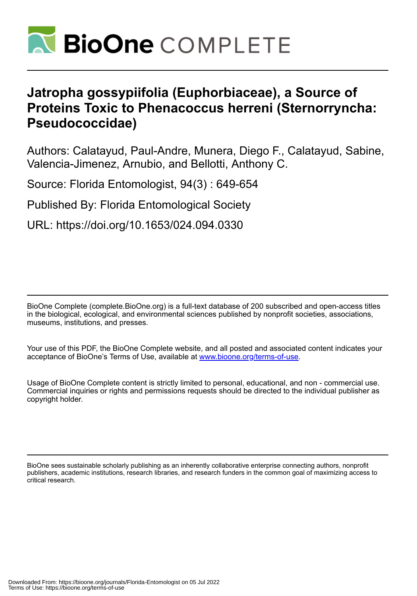

# **Jatropha gossypiifolia (Euphorbiaceae), a Source of Proteins Toxic to Phenacoccus herreni (Sternorryncha: Pseudococcidae)**

Authors: Calatayud, Paul-Andre, Munera, Diego F., Calatayud, Sabine, Valencia-Jimenez, Arnubio, and Bellotti, Anthony C.

Source: Florida Entomologist, 94(3) : 649-654

Published By: Florida Entomological Society

URL: https://doi.org/10.1653/024.094.0330

BioOne Complete (complete.BioOne.org) is a full-text database of 200 subscribed and open-access titles in the biological, ecological, and environmental sciences published by nonprofit societies, associations, museums, institutions, and presses.

Your use of this PDF, the BioOne Complete website, and all posted and associated content indicates your acceptance of BioOne's Terms of Use, available at www.bioone.org/terms-of-use.

Usage of BioOne Complete content is strictly limited to personal, educational, and non - commercial use. Commercial inquiries or rights and permissions requests should be directed to the individual publisher as copyright holder.

BioOne sees sustainable scholarly publishing as an inherently collaborative enterprise connecting authors, nonprofit publishers, academic institutions, research libraries, and research funders in the common goal of maximizing access to critical research.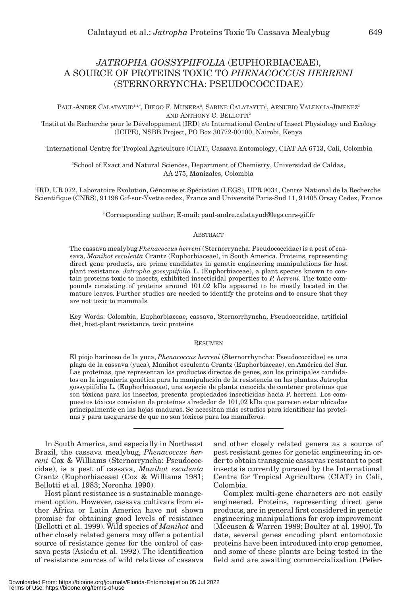# *JATROPHA GOSSYPIIFOLIA* (EUPHORBIACEAE), A SOURCE OF PROTEINS TOXIC TO *PHENACOCCUS HERRENI* (STERNORRYNCHA: PSEUDOCOCCIDAE)

PAUL-ANDRE CALATAYUD<sup>1,4,\*</sup>, DIEGO F. MUNERA<sup>2</sup>, SABINE CALATAYUD<sup>1</sup>, ARNUBIO VALENCIA-JIMENEZ<sup>3</sup> AND ANTHONY C. BELLOTTI<sup>2</sup>

1 Institut de Recherche pour le Développement (IRD) c/o International Centre of Insect Physiology and Ecology (ICIPE), NSBB Project, PO Box 30772-00100, Nairobi, Kenya

2 International Centre for Tropical Agriculture (CIAT), Cassava Entomology, CIAT AA 6713, Cali, Colombia

3 School of Exact and Natural Sciences, Department of Chemistry, Universidad de Caldas, AA 275, Manizales, Colombia

4 IRD, UR 072, Laboratoire Evolution, Génomes et Spéciation (LEGS), UPR 9034, Centre National de la Recherche Scientifique (CNRS), 91198 Gif-sur-Yvette cedex, France and Université Paris-Sud 11, 91405 Orsay Cedex, France

\*Corresponding author; E-mail: paul-andre.calatayud@legs.cnrs-gif.fr

# ABSTRACT

The cassava mealybug *Phenacoccus herreni* (Sternorryncha: Pseudococcidae) is a pest of cassava, *Manihot esculenta* Crantz (Euphorbiaceae), in South America. Proteins, representing direct gene products, are prime candidates in genetic engineering manipulations for host plant resistance. *Jatropha gossypiifolia* L. (Euphorbiaceae), a plant species known to contain proteins toxic to insects, exhibited insecticidal properties to *P. herreni*. The toxic compounds consisting of proteins around 101.02 kDa appeared to be mostly located in the mature leaves. Further studies are needed to identify the proteins and to ensure that they are not toxic to mammals.

Key Words: Colombia, Euphorbiaceae, cassava, Sternorrhyncha, Pseudococcidae, artificial diet, host-plant resistance, toxic proteins

# RESUMEN

El piojo harinoso de la yuca, *Phenacoccus herreni* (Sternorrhyncha: Pseudococcidae) es una plaga de la cassava (yuca), Manihot esculenta Crantz (Euphorbiaceae), en América del Sur. Las proteínas, que representan los productos directos de genes, son los principales candidatos en la ingeniería genética para la manipulación de la resistencia en las plantas. Jatropha gossypiifolia L. (Euphorbiaceae), una especie de planta conocida de contener proteínas que son tóxicas para los insectos, presenta propiedades insecticidas hacia P. herreni. Los compuestos tóxicos consisten de proteínas alrededor de 101,02 kDa que parecen estar ubicadas principalmente en las hojas maduras. Se necesitan más estudios para identificar las proteínas y para asegurarse de que no son tóxicos para los mamíferos.

In South America, and especially in Northeast Brazil, the cassava mealybug, *Phenacoccus herreni* Cox & Williams (Sternorryncha: Pseudococcidae), is a pest of cassava, *Manihot esculenta* Crantz (Euphorbiaceae) (Cox & Williams 1981; Bellotti et al. 1983; Noronha 1990).

Host plant resistance is a sustainable management option. However, cassava cultivars from either Africa or Latin America have not shown promise for obtaining good levels of resistance (Bellotti et al. 1999). Wild species of *Manihot* and other closely related genera may offer a potential source of resistance genes for the control of cassava pests (Asiedu et al. 1992). The identification of resistance sources of wild relatives of cassava

and other closely related genera as a source of pest resistant genes for genetic engineering in order to obtain transgenic cassavas resistant to pest insects is currently pursued by the International Centre for Tropical Agriculture (CIAT) in Cali, Colombia.

Complex multi-gene characters are not easily engineered. Proteins, representing direct gene products, are in general first considered in genetic engineering manipulations for crop improvement (Meeusen & Warren 1989; Boulter at al. 1990). To date, several genes encoding plant entomotoxic proteins have been introduced into crop genomes, and some of these plants are being tested in the field and are awaiting commercialization (Pefer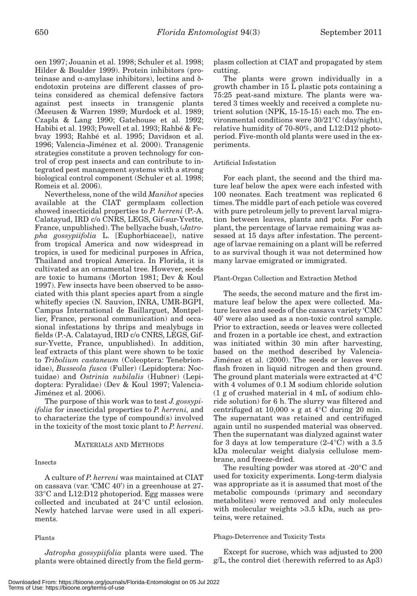oen 1997; Jouanin et al. 1998; Schuler et al. 1998; Hilder & Boulder 1999). Protein inhibitors (proteinase and  $α$ -amylase inhibitors), lectins and  $δ$ endotoxin proteins are different classes of proteins considered as chemical defensive factors against pest insects in transgenic plants (Meeusen & Warren 1989; Murdock et al. 1989; Czapla & Lang 1990; Gatehouse et al. 1992; Habibi et al. 1993; Powell et al. 1993; Rahbé & Febvay 1993; Rahbé et al. 1995; Davidson et al. 1996; Valencia-Jiménez et al. 2000). Transgenic strategies constitute a proven technology for control of crop pest insects and can contribute to integrated pest management systems with a strong biological control component (Schuler et al. 1998; Romeis et al. 2006).

Nevertheless, none of the wild *Manihot* species available at the CIAT germplasm collection showed insecticidal properties to *P. herreni* (P.-A. Calatayud, IRD c/o CNRS, LEGS, Gif-sur-Yvette, France, unpublished). The bellyache bush, (*Jatropha gossypiifolia* L. [Euphorbiaceae]), native from tropical America and now widespread in tropics, is used for medicinal purposes in Africa, Thailand and tropical America. In Florida, it is cultivated as an ornamental tree. However, seeds are toxic to humans (Morton 1981; Dev & Koul 1997). Few insects have been observed to be associated with this plant species apart from a single whitefly species (N. Sauvion, INRA, UMR-BGPI, Campus International de Baillarguet, Montpellier, France, personal communication) and occasional infestations by thrips and mealybugs in fields (P.-A. Calatayud, IRD c/o CNRS, LEGS, Gifsur-Yvette, France, unpublished). In addition, leaf extracts of this plant were shown to be toxic to *Tribolium castaneum* (Coleoptera: Tenebrionidae), *Busseola fusca* (Fuller) (Lepidoptera: Noctuidae) and *Ostrinia nubilalis* (Hubner) (Lepidoptera: Pyralidae) (Dev & Koul 1997; Valencia-Jiménez et al. 2006).

The purpose of this work was to test *J. gossypiifolia* for insecticidal properties to *P. herreni,* and to characterize the type of compound(s) involved in the toxicity of the most toxic plant to *P. herreni*.

# MATERIALS AND METHODS

# Insects

A culture of *P. herreni* was maintained at CIAT on cassava (var. 'CMC 40') in a greenhouse at 27- 33°C and L12:D12 photoperiod. Egg masses were collected and incubated at 24°C until eclosion. Newly hatched larvae were used in all experiments.

#### Plants

*Jatropha gossypiifolia* plants were used. The plants were obtained directly from the field germ-

plasm collection at CIAT and propagated by stem cutting.

The plants were grown individually in a growth chamber in 15 L plastic pots containing a 75:25 peat-sand mixture. The plants were watered 3 times weekly and received a complete nutrient solution (NPK, 15-15-15) each mo. The environmental conditions were 30/21°C (day/night), relative humidity of 70-80%, and L12:D12 photoperiod. Five-month old plants were used in the experiments.

# Artificial Infestation

For each plant, the second and the third mature leaf below the apex were each infested with 100 neonates. Each treatment was replicated 6 times. The middle part of each petiole was covered with pure petroleum jelly to prevent larval migration between leaves, plants and pots. For each plant, the percentage of larvae remaining was assessed at 15 days after infestation. The percentage of larvae remaining on a plant will be referred to as survival though it was not determined how many larvae emigrated or immigrated.

# Plant-Organ Collection and Extraction Method

The seeds, the second mature and the first immature leaf below the apex were collected. Mature leaves and seeds of the cassava variety 'CMC 40' were also used as a non-toxic control sample. Prior to extraction, seeds or leaves were collected and frozen in a portable ice chest, and extraction was initiated within 30 min after harvesting, based on the method described by Valencia-Jiménez et al. (2000). The seeds or leaves were flash frozen in liquid nitrogen and then ground. The ground plant materials were extracted at 4°C with 4 volumes of 0.1 M sodium chloride solution (1 g of crushed material in 4 mL of sodium chloride solution) for 6 h. The slurry was filtered and centrifuged at  $10,000 \times g$  at  $4^{\circ}$ C during 20 min. The supernatant was retained and centrifuged again until no suspended material was observed. Then the supernatant was dialyzed against water for 3 days at low temperature  $(2-4^{\circ}C)$  with a 3.5 kDa molecular weight dialysis cellulose membrane, and freeze-dried.

The resulting powder was stored at -20°C and used for toxicity experiments. Long-term dialysis was appropriate as it is assumed that most of the metabolic compounds (primary and secondary metabolites) were removed and only molecules with molecular weights >3.5 kDa, such as proteins, were retained.

#### Phago-Deterrence and Toxicity Tests

Except for sucrose, which was adjusted to 200 g/L, the control diet (herewith referred to as Ap3)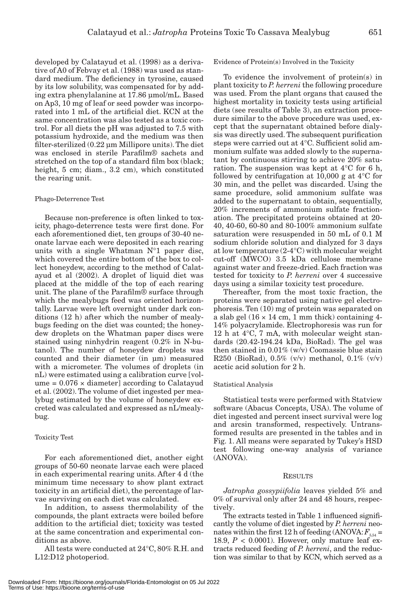developed by Calatayud et al. (1998) as a derivative of A0 of Febvay et al. (1988) was used as standard medium. The deficiency in tyrosine, caused by its low solubility, was compensated for by adding extra phenylalanine at 17.86 μmol/mL. Based on Ap3, 10 mg of leaf or seed powder was incorporated into 1 mL of the artificial diet. KCN at the same concentration was also tested as a toxic control. For all diets the pH was adjusted to 7.5 with potassium hydroxide, and the medium was then filter-sterilized (0.22 μm Millipore units). The diet was enclosed in sterile Parafilm® sachets and stretched on the top of a standard film box (black; height, 5 cm; diam., 3.2 cm), which constituted the rearing unit.

#### Phago-Deterrence Test

Because non-preference is often linked to toxicity, phago-deterrence tests were first done. For each aforementioned diet, ten groups of 30-40 neonate larvae each were deposited in each rearing units with a single Whatman  $N^{\circ}1$  paper disc, which covered the entire bottom of the box to collect honeydew, according to the method of Calatayud et al (2002). A droplet of liquid diet was placed at the middle of the top of each rearing unit. The plane of the Parafilm® surface through which the mealybugs feed was oriented horizontally. Larvae were left overnight under dark conditions (12 h) after which the number of mealybugs feeding on the diet was counted; the honeydew droplets on the Whatman paper discs were stained using ninhydrin reagent (0.2% in N-butanol). The number of honeydew droplets was counted and their diameter (in μm) measured with a micrometer. The volumes of droplets (in nL) were estimated using a calibration curve [vol $ume = 0.076 \times diameter$  according to Calatayud et al. (2002). The volume of diet ingested per mealybug estimated by the volume of honeydew excreted was calculated and expressed as nL/mealybug.

# Toxicity Test

For each aforementioned diet, another eight groups of 50-60 neonate larvae each were placed in each experimental rearing units. After 4 d (the minimum time necessary to show plant extract toxicity in an artificial diet), the percentage of larvae surviving on each diet was calculated.

In addition, to assess thermolability of the compounds, the plant extracts were boiled before addition to the artificial diet; toxicity was tested at the same concentration and experimental conditions as above.

All tests were conducted at 24°C, 80% R.H. and L12:D12 photoperiod.

Evidence of Protein(s) Involved in the Toxicity

To evidence the involvement of protein(s) in plant toxicity to *P. herreni* the following procedure was used. From the plant organs that caused the highest mortality in toxicity tests using artificial diets (see results of Table 3), an extraction procedure similar to the above procedure was used, except that the supernatant obtained before dialysis was directly used. The subsequent purification steps were carried out at 4°C. Sufficient solid ammonium sulfate was added slowly to the supernatant by continuous stirring to achieve 20% saturation. The suspension was kept at 4°C for 6 h, followed by centrifugation at 10,000 g at 4°C for 30 min, and the pellet was discarded. Using the same procedure, solid ammonium sulfate was added to the supernatant to obtain, sequentially, 20% increments of ammonium sulfate fractionation. The precipitated proteins obtained at 20- 40, 40-60, 60-80 and 80-100% ammonium sulfate saturation were resuspended in 50 mL of 0.1 M sodium chloride solution and dialyzed for 3 days at low temperature (2-4°C) with molecular weight cut-off (MWCO) 3.5 kDa cellulose membrane against water and freeze-dried. Each fraction was tested for toxicity to *P. herreni* over 4 successive days using a similar toxicity test procedure.

Thereafter, from the most toxic fraction, the proteins were separated using native gel electrophoresis. Ten (10) mg of protein was separated on a slab gel  $(16 \times 14 \text{ cm}, 1 \text{ mm thick})$  containing 4-14% polyacrylamide. Electrophoresis was run for 12 h at 4°C, 7 mA, with molecular weight standards (20.42-194.24 kDa, BioRad). The gel was then stained in  $0.01\%$  (w/v) Coomassie blue stain R250 (BioRad), 0.5% (v/v) methanol, 0.1% (v/v) acetic acid solution for 2 h.

# Statistical Analysis

Statistical tests were performed with Statview software (Abacus Concepts, USA). The volume of diet ingested and percent insect survival were log and arcsin transformed, respectively. Untransformed results are presented in the tables and in Fig. 1. All means were separated by Tukey's HSD test following one-way analysis of variance (ANOVA).

## RESULTS

*Jatropha gossypiifolia* leaves yielded 5% and 0% of survival only after 24 and 48 hours, respectively.

The extracts tested in Table 1 influenced significantly the volume of diet ingested by *P. herreni* neonates within the first 12 h of feeding (ANOVA:  $F_{5,54}$  = 18.9,  $P < 0.0001$ ). However, only mature leaf extracts reduced feeding of *P. herreni*, and the reduction was similar to that by KCN, which served as a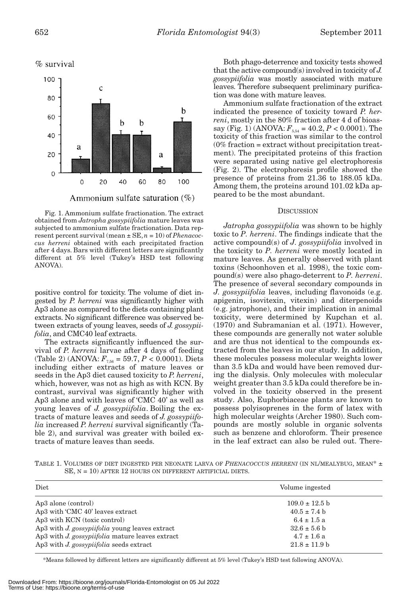

Fig. 1. Ammonium sulfate fractionation. The extract obtained from *Jatropha gossypiifolia* mature leaves was subjected to ammonium sulfate fractionation. Data represent percent survival (mean ± SE, *n* = 10) of *Phenacoccus herreni* obtained with each precipitated fraction after 4 days. Bars with different letters are significantly different at 5% level (Tukey's HSD test following ANOVA).

positive control for toxicity. The volume of diet ingested by *P. herreni* was significantly higher with Ap3 alone as compared to the diets containing plant extracts. No significant difference was observed between extracts of young leaves, seeds of *J. gossypiifolia*, and CMC40 leaf extracts.

The extracts significantly influenced the survival of *P. herreni* larvae after 4 days of feeding (Table 2) (ANOVA:  $F_{7.56} = 59.7, P < 0.0001$ ). Diets including either extracts of mature leaves or seeds in the Ap3 diet caused toxicity to *P. herreni*, which, however, was not as high as with KCN. By contrast, survival was significantly higher with Ap3 alone and with leaves of 'CMC 40' as well as young leaves of *J. gossypiifolia*. Boiling the extracts of mature leaves and seeds of *J. gossypiifolia* increased *P. herreni* survival significantly (Table 2), and survival was greater with boiled extracts of mature leaves than seeds.

Both phago-deterrence and toxicity tests showed that the active compound(s) involved in toxicity of *J. gossypiifolia* was mostly associated with mature leaves. Therefore subsequent preliminary purification was done with mature leaves.

Ammonium sulfate fractionation of the extract indicated the presence of toxicity toward *P. herreni*, mostly in the 80% fraction after 4 d of bioassay (Fig. 1) (ANOVA:  $F_{5.54} = 40.2$ ,  $P < 0.0001$ ). The toxicity of this fraction was similar to the control  $(0\%$  fraction = extract without precipitation treatment). The precipitated proteins of this fraction were separated using native gel electrophoresis (Fig. 2). The electrophoresis profile showed the presence of proteins from 21.36 to 188.05 kDa. Among them, the proteins around 101.02 kDa appeared to be the most abundant.

## **DISCUSSION**

*Jatropha gossypiifolia* was shown to be highly toxic to *P. herreni*. The findings indicate that the active compound(s) of *J. gossypiifolia* involved in the toxicity to *P. herreni* were mostly located in mature leaves. As generally observed with plant toxins (Schoonhoven et al. 1998), the toxic compound(s) were also phago-deterrent to *P. herreni*. The presence of several secondary compounds in *J. gossypiifolia* leaves, including flavonoids (e.g. apigenin, isovitexin, vitexin) and diterpenoids (e.g. jatrophone), and their implication in animal toxicity, were determined by Kupchan et al. (1970) and Subramanian et al. (1971). However, these compounds are generally not water soluble and are thus not identical to the compounds extracted from the leaves in our study. In addition, these molecules possess molecular weights lower than 3.5 kDa and would have been removed during the dialysis. Only molecules with molecular weight greater than 3.5 kDa could therefore be involved in the toxicity observed in the present study. Also, Euphorbiaceae plants are known to possess polyisoprenes in the form of latex with high molecular weights (Archer 1980). Such compounds are mostly soluble in organic solvents such as benzene and chloroform. Their presence in the leaf extract can also be ruled out. There-

TABLE 1. VOLUMES OF DIET INGESTED PER NEONATE LARVA OF *PHENACOCCUS HERRENI* (IN NL/MEALYBUG, MEAN\* ± SE,  $N = 10$ ) AFTER 12 HOURS ON DIFFERENT ARTIFICIAL DIETS.

| Diet                                            | Volume ingested    |
|-------------------------------------------------|--------------------|
| Ap3 alone (control)                             | $109.0 \pm 12.5$ b |
| Ap3 with 'CMC 40' leaves extract                | $40.5 \pm 7.4$ b   |
| Ap3 with KCN (toxic control)                    | $6.4 \pm 1.5$ a    |
| Ap3 with J. gossypiifolia young leaves extract  | $32.6 \pm 5.6$ b   |
| Ap3 with J. gossypiifolia mature leaves extract | $4.7 \pm 1.6$ a    |
| Ap3 with J. gossypiifolia seeds extract         | $21.8 \pm 11.9$ b  |

\*Means followed by different letters are significantly different at 5% level (Tukey's HSD test following ANOVA).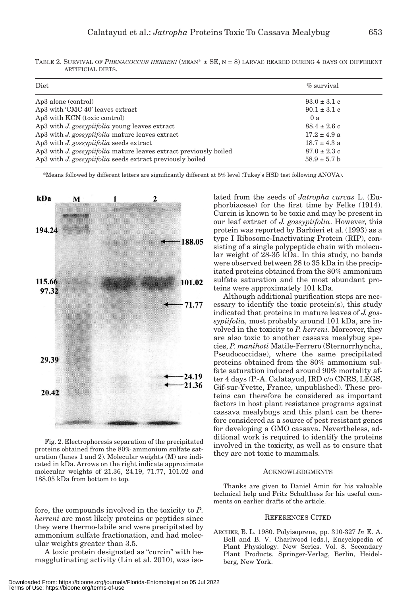| Diet                                                              | $\%$ survival    |
|-------------------------------------------------------------------|------------------|
| Ap3 alone (control)                                               | $93.0 \pm 3.1$ c |
| Ap3 with 'CMC 40' leaves extract                                  | $90.1 \pm 3.1$ c |
| Ap3 with KCN (toxic control)                                      | 0a               |
| Ap3 with J. gossypiifolia young leaves extract                    | $88.4 \pm 2.6$ c |
| Ap3 with J. gossypiifolia mature leaves extract                   | $17.2 \pm 4.9$ a |
| Ap3 with J. gossypiifolia seeds extract                           | $18.7 \pm 4.3$ a |
| Ap3 with J. gossypiifolia mature leaves extract previously boiled | $87.0 \pm 2.3$ c |
| Ap3 with J. gossypiifolia seeds extract previously boiled         | $58.9 \pm 5.7$ b |
|                                                                   |                  |

TABLE 2. SURVIVAL OF *PHENACOCCUS HERRENI* (MEAN\* ± SE, N = 8) LARVAE REARED DURING 4 DAYS ON DIFFERENT ARTIFICIAL DIETS.

\*Means followed by different letters are significantly different at 5% level (Tukey's HSD test following ANOVA).



Fig. 2. Electrophoresis separation of the precipitated proteins obtained from the 80% ammonium sulfate saturation (lanes 1 and 2). Molecular weights (M) are indicated in kDa. Arrows on the right indicate approximate molecular weights of 21.36,  $24.19$ ,  $71.77$ ,  $101.02$  and 188.05 kDa from bottom to top.

fore, the compounds involved in the toxicity to *P. herreni* are most likely proteins or peptides since they were thermo-labile and were precipitated by ammonium sulfate fractionation, and had molecular weights greater than 3.5.

A toxic protein designated as "curcin" with hemagglutinating activity (Lin et al. 2010), was iso-

lated from the seeds of *Jatropha curcas* L. (Euphorbiaceae) for the first time by Felke (1914). Curcin is known to be toxic and may be present in our leaf extract of *J. gossypiifolia*. However, this protein was reported by Barbieri et al. (1993) as a type I Ribosome-Inactivating Protein (RIP), consisting of a single polypeptide chain with molecular weight of 28-35 kDa. In this study, no bands were observed between 28 to 35 kDa in the precipitated proteins obtained from the 80% ammonium sulfate saturation and the most abundant proteins were approximately 101 kDa.

Although additional purification steps are necessary to identify the toxic protein(s), this study indicated that proteins in mature leaves of *J. gossypiifolia,* most probably around 101 kDa, are involved in the toxicity to *P. herreni*. Moreover, they are also toxic to another cassava mealybug species, *P. manihoti* Matile-Ferrero (Sternorrhyncha, Pseudococcidae), where the same precipitated proteins obtained from the 80% ammonium sulfate saturation induced around 90% mortality after 4 days (P.-A. Calatayud, IRD c/o CNRS, LEGS, Gif-sur-Yvette, France, unpublished). These proteins can therefore be considered as important factors in host plant resistance programs against cassava mealybugs and this plant can be therefore considered as a source of pest resistant genes for developing a GMO cassava. Nevertheless, additional work is required to identify the proteins involved in the toxicity, as well as to ensure that they are not toxic to mammals.

# ACKNOWLEDGMENTS

Thanks are given to Daniel Amin for his valuable technical help and Fritz Schulthess for his useful comments on earlier drafts of the article.

# REFERENCES CITED

ARCHER, B. L. 1980. Polyisoprene, pp. 310-327 *In* E. A. Bell and B. V. Charlwood [eds.], Encyclopedia of Plant Physiology. New Series. Vol. 8. Secondary Plant Products. Springer-Verlag, Berlin, Heidelberg, New York.